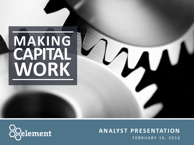# MAKING<br>CAPITAL<br>WORK



## **ANALYST PRESENTATION FEBRUARY 16, 2016**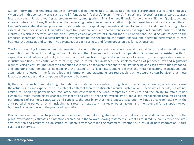Certain information in this presentation is forward-looking and related to anticipated financial performance, events and strategies. When used in this context, words such as "will", "anticipate", "believe", "plan", "intend", "target" and "expect" or similar words suggest future outcomes. Forward-looking statements relate to, among other things, Element Financial Corporation's ("Element") objectives and strategy; future cash flows, financial condition, operating performance, financial ratios, projected asset base and capital expenditures; Element's anticipated dividend policy; anticipated cash needs, capital requirements and need for and cost of additional financing; future assets; demand for services; Element's competitive position; and anticipated trends and challenges in Element's business and the markets in which it operates; and the plans, strategies and objectives of Element for future operations, including with respect to the proposed separation, the expected timetable for completing the separation, the future financial and operating performance of each business, the strategic and competitive advantages of each business and future opportunities for each business.

The forward-looking information and statements contained in this presentation reflect several material factors and expectations and assumptions of Element including, without limitation: that Element will conduct its operations in a manner consistent with its expectations and, where applicable, consistent with past practice; the general continuance of current or, where applicable, assumed industry conditions; the continuance of existing (and in certain circumstances, the implementation of proposed) tax and regulatory regimes; certain cost assumptions; the continued availability of adequate debt and/or equity financing and cash flow to fund its capital and operating requirements as needed; and the extent of its liabilities. Element believes the material factors, expectations and assumptions reflected in the forward-looking information and statements are reasonable but no assurance can be given that these factors, expectations and assumptions will prove to be correct.

By their nature, such forward-looking information and statements are subject to significant risks and uncertainties, which could cause the actual results and experience to be materially different than the anticipated results. Such risks and uncertainties include, but are not limited to, operating performance, regulatory and government decisions, competitive pressures and the ability to retain major customers, rapid technological changes, availability and cost of financing, availability of labour and management resources and the performance of partners, contractors and suppliers, the possibility that the proposed separation will not be consummated with the anticipated time period or at all, including as a result of regulatory, market or other factors, and the potential for disruption to our business in connection with the proposed separation.

Readers are cautioned not to place undue reliance on forward-looking statements as actual results could differ materially from the plans, expectations, estimates or intentions expressed in the forward-looking statements. Except as required by law, Element disclaims any intention and assumes no obligation to update any forward-looking statement, whether as a result of new information, future events or otherwise.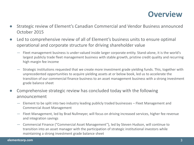# **Overview**

- Strategic review of Element's Canadian Commercial and Vendor Business announced October 2015
- Led to comprehensive review of all of Element's business units to ensure optimal operational and corporate structure for driving shareholder value
	- Fleet management business is under-valued inside larger corporate entity. Stand-alone, it is the world's largest publicly trade fleet management business with stable growth, pristine credit quality and recurring high margin fee income
	- Strategic institutions requested that we create more investment grade yielding funds. This, together with unprecedented opportunities to acquire yielding assets at or below book, led us to accelerate the transition of our commercial finance business to an asset management business with a strong investment grade balance sheet
- Comprehensive strategic review has concluded today with the following announcement
	- Element to be split into two industry leading publicly traded businesses Fleet Management and Commercial Asset Management
	- Fleet Management, led by Brad Nullmeyer, will focus on driving increased services, higher fee revenue and integration savings
	- Commercial Finance ("Commercial Asset Management"), led by Steven Hudson, will continue to transition into an asset manager with the participation of strategic institutional investors while maintaining a strong investment grade balance sheet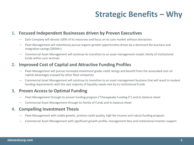# **Strategic Benefits – Why**

### **1. Focused Independent Businesses driven by Proven Executives**

- Each Company will devote 100% of its resources and focus on its core market without distraction
- Fleet Management will relentlessly pursue organic growth opportunities driven by a dominant fee business and integration savings (\$95M+)
- Commercial Asset Management will continue its transition to an asset management model; family of institutional funds within core verticals

## **2. Improved Cost of Capital and Attractive Funding Profiles**

- Fleet Management will pursue increased investment grade credit ratings and benefit from the associated cost-ofcapital advantages enjoyed by other fleet companies
- Commercial Asset Management will continue its transition to an asset management business that will result in modest funding requirements with the vast majority of liquidity needs met by its institutional Funds

## **3. Proven Access to Optimal Funding**

- Fleet Management through its proven funding program ("Chesapeake Funding II") and its balance sheet
- Commercial Asset Management through its Family of Funds and its balance sheet

### **4. Compelling Investment Thesis**

- Fleet Management with stable growth, pristine credit quality, high fee income and robust funding program
- Commercial Asset Management with significant growth profile, management fees and institutional investor support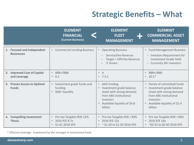# **Strategic Benefits – What**

|                                                       | <b>ELEMENT</b><br><b>FINANCIAL</b><br>(Current Business)                                            | <b>ELEMENT</b><br><b>FLEET</b><br><b>MANAGEMENT</b>                                                                                                                                          | <b>ELEMENT</b><br><b>COMMERCIAL ASSET</b><br><b>MANAGEMENT</b>                                                                                                      |
|-------------------------------------------------------|-----------------------------------------------------------------------------------------------------|----------------------------------------------------------------------------------------------------------------------------------------------------------------------------------------------|---------------------------------------------------------------------------------------------------------------------------------------------------------------------|
| 1. Focused and Independent<br><b>Businesses</b>       | <b>Commercial Lending Business</b><br>$\bullet$                                                     | <b>Operating Business</b><br>$\bullet$<br>Service/Fee Revenue<br>Target > 50% fee Revenue<br>IT driven                                                                                       | <b>Fund Management Business</b><br>$\bullet$<br>- Investors Requirement for<br>Investment Grade Yield<br>- Currently 30+ Investors                                  |
| <b>Improved Cost of Capital</b><br>2.<br>and Leverage | BBB+/BBB<br>$\bullet$<br>6:1<br>$\bullet$                                                           | $\bullet$ A<br>•7.5:1                                                                                                                                                                        | BBB+/BBB<br>$20:1*$                                                                                                                                                 |
| <b>Proven Access to Optimal</b><br>3.<br><b>Funds</b> | Investment grade funds and<br>funding<br>\$6B+ liquidity<br>$\bullet$                               | AAA funding<br>$\bullet$<br>Investment grade balance<br>$\bullet$<br>sheet with strong demand<br>from ABS institutional<br>investors<br>Available liquidity of \$4.8<br>$\bullet$<br>billion | Family of committed funds<br>Investment grade balance<br>sheet with strong demand<br>from ABS institutional<br>investors<br>Available liquidity of \$1.4<br>billion |
| 4. Compelling Investment<br><b>Thesis</b>             | Pre-tax Tangible ROE 22%<br>$\bullet$<br>2016 P/E 8.7x<br>$\bullet$<br>\$1.61 2016 EPS<br>$\bullet$ | Pre-tax Tangible ROE >30%<br>2016 P/E 15x<br>$\bullet$<br>• $\approx$ \$1.20 to \$1.30 2016 EPS                                                                                              | Pre-tax Tangible ROE >30%<br>2016 P/E 16x<br>~\$0.35 to \$0.40 2016 EPS                                                                                             |

\* Effective leverage: investment by the manager in institutional funds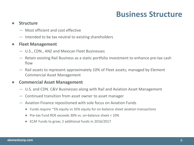# **Business Structure**

#### ● **Structure**

- Most efficient and cost effective
- Intended to be tax neutral to existing shareholders

#### ● **Fleet Management**

- U.S., CDN., ANZ and Mexican Fleet Businesses
- Retain existing Rail Business as a static portfolio investment to enhance pre-tax cash flow
- Rail assets to represent approximately 10% of Fleet assets; managed by Element Commercial Asset Management

#### **Commercial Asset Management**

- U.S. and CDN. C&V Businesses along with Rail and Aviation Asset Management
- Continued transition from asset owner to asset manager
- Aviation Finance repositioned with sole focus on Aviation Funds
	- Funds require ~5% equity vs 35% equity for on-balance sheet aviation transactions
	- Pre-tax Fund ROE exceeds 30% vs. on-balance sheet < 10%
	- ECAF Funds to grow; 2 additional funds in 2016/2017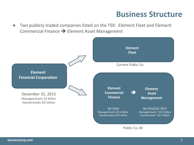# **Business Structure**

Two publicly traded companies listed on the TSX: Element Fleet and Element Commercial Finance  $\rightarrow$  Element Asset Management

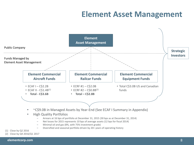# **Element Asset Management**



- ~C\$9.0B in Managed Assets by Year-End (See ECAF I Summary in Appendix)
- High Quality Portfolios
	- ‒ Arrears at 16 bps of portfolio at December 31, 2015 (30 bps as at December 31, 2014)
	- ‒ Net losses for 2015 represents 10 bps of average assets (12 bps for fiscal 2014)
	- ‒ Minimal oil and gas (8%, with 75% investment grade)
	- ‒ Diversified and seasonal portfolio driven by 20+ years of operating history
- (1) Close by Q2 2016
- (2) Close by Q4 2016/Q1 2017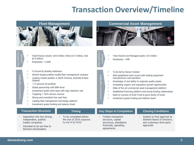# **Transaction Overview/Timeline**



#### **Fleet Management Commercial Asset Management**



 $\checkmark$  Total Owned and Managed assets: \$7.0 billion

 $\checkmark$  Well established track record with leading equipment

 $\checkmark$  Knowledge of and ability to originate quality assets  $\checkmark$  Compelling organic and acquisition growth opportunities  $\checkmark$  State of the art commercial asset management platform  $\checkmark$  Established financing platform and strong funding relationships  $\checkmark$  Build on success of ECAF Fund to grow family of funds

 $\checkmark$  Investment grade funding and balance sheet

Employees: ~200

 $\checkmark$  To be led by Steven Hudson

manufacturers and operators

Key metrics / markets

key metrics

Investment highlights

investment highlights

- $\checkmark$  Total Finance Assets: \$19.5 billion (Fleet \$17.5 billion, Rail \$2.0 billion)
- $\checkmark$  Employees: ~2,600
- $\checkmark$  To be led by Bradley Nullmeyer
- World's largest publicly traded fleet management company
- $\checkmark$  Leading market position in North America, Australia & New Zealand
- $\sqrt{ }$  ~77 percent US portfolio
- $\checkmark$  Global partnership with BNP-Arval
- $\checkmark$  Investment grade client base with high retention rate
- $\checkmark$  Targeting > 50% service revenue
- $\checkmark$  Strong and consistent free cash flow
- $\checkmark$  Leading fleet management technology platform
- $\checkmark$  Investment grade funding and balance sheet

#### **Transaction Structure**

- Separation into two strong, independent, publicly traded companies
- To be completed before the end of 2016 (expected

by end of Q3 2016)

- **Timing <b>Key Steps to Completion Closing Conditions** 
	- Finalize transaction structure, capital structures, standalone financials, operating agreements
- 
- Subject to final approval by Element Board of Directors, and customary third party approvals

• Intended to be tax-free to Element shareholders

Investment highlights

Investment highlights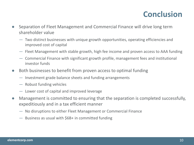# **Conclusion**

- Separation of Fleet Management and Commercial Finance will drive long term shareholder value
	- Two distinct businesses with unique growth opportunities, operating efficiencies and improved cost of capital
	- Fleet Management with stable growth, high fee income and proven access to AAA funding
	- Commercial Finance with significant growth profile, management fees and institutional investor funds
- Both businesses to benefit from proven access to optimal funding
	- Investment grade balance sheets and funding arrangements
	- Robust funding vehicles
	- Lower cost of capital and improved leverage
- Management is committed to ensuring that the separation is completed successfully, expeditiously and in a tax efficient manner
	- No disruptions to either Fleet Management or Commercial Finance
	- Business as usual with \$6B+ in committed funding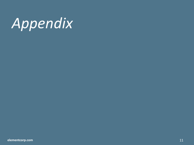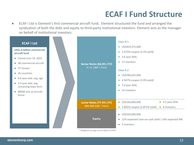# **ECAF I Fund Structure**

ECAF I Ltd is Element's first commercial aircraft fund. Element structured the fund and arranged the syndication of both the debt and equity to third-party institutional investors. Element acts as the manager on behalf of institutional investors.



\* Weighted average cost of debt of 4.69%